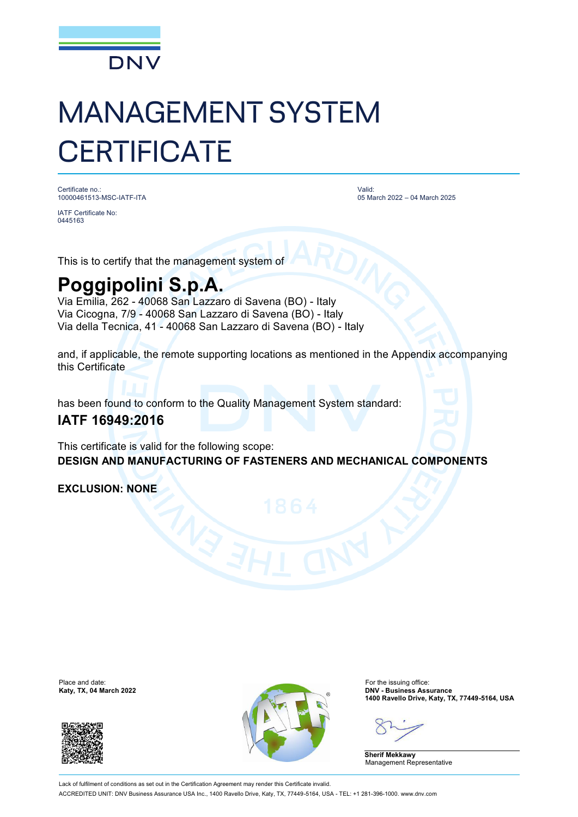

# MANAGEMENT SYSTEM **CERTIFICATE**

Certificate no.: 10000461513-MSC-IATF-ITA

IATF Certificate No: 0445163

Valid: 05 March 2022 – 04 March 2025

This is to certify that the management system of

## **Poggipolini S.p.A.**

Via Emilia, 262 - 40068 San Lazzaro di Savena (BO) - Italy Via Cicogna, 7/9 - 40068 San Lazzaro di Savena (BO) - Italy Via della Tecnica, 41 - 40068 San Lazzaro di Savena (BO) - Italy

and, if applicable, the remote supporting locations as mentioned in the Appendix accompanying this Certificate

has been found to conform to the Quality Management System standard:

### **IATF 16949:2016**

This certificate is valid for the following scope: **DESIGN AND MANUFACTURING OF FASTENERS AND MECHANICAL COMPONENTS**

**EXCLUSION: NONE**

Place and date:<br>Katy, TX, 04 March 2022





For the issuing office:<br>**DNV - Business Assurance 1400 Ravello Drive, Katy, TX, 77449-5164, USA**

**Sherif Mekkawy** Management Representative